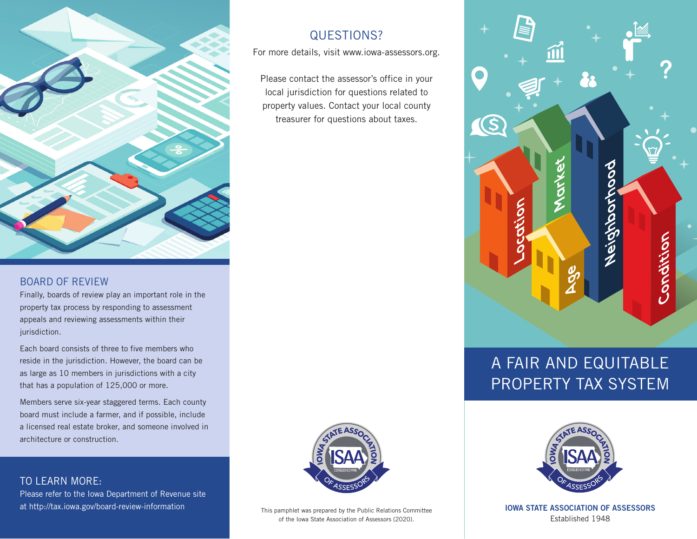

#### BOARD OF REVIEW

Finally, boards of review play an important role in the property tax process by responding to assessment appeals and reviewing assessments within their jurisdiction.

Each board consists of three to five members who reside in the jurisdiction. However, the board can be as large as 10 members in jurisdictions with a city that has a population of 125,000 or more.

Members serve six-year staggered terms. Each county board must include a farmer, and if possible, include a licensed real estate broker, and someone involved in architecture or construction.

## TO LEARN MORE:

Please refer to the Iowa Department of Revenue site at http://tax.iowa.gov/board-review-information **IOWA STATE ASSOCIATION OF ASSESSORS**

# QUESTIONS?

For more details, visit www.iowa-assessors.org.

Please contact the assessor's office in your local jurisdiction for questions related to property values. Contact your local county treasurer for questions about taxes.



Ŏ  $\overline{O}$ i<br>C<br>U

# A FAIR AND EQUITABLE PROPERTY TAX SYSTEM



Established 1948

This pamphlet was prepared by the Public Relations Committee of the Iowa State Association of Assessors (2020).